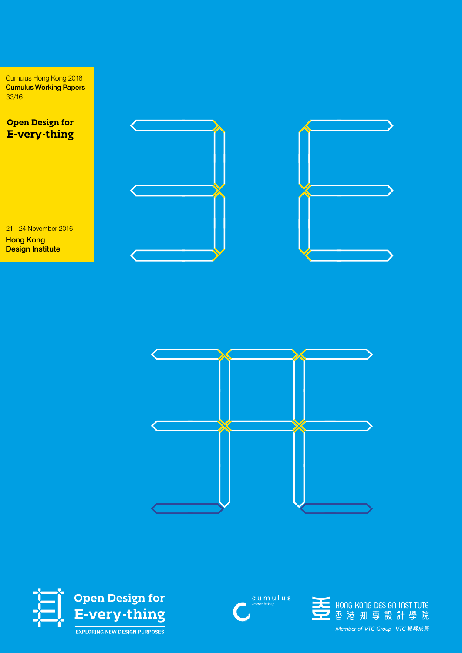Cumulus Hong Kong 2016 Cumulus Working Papers 33/16

**Open Design for** E-very-thing

21 – 24 November 2016

Hong Kong Design Institute







cumulus



-<br>- HONG KONG DESIGN INSTITUTE<br>- 香港知専設計學院 Member of VTC Group VTC 機構成員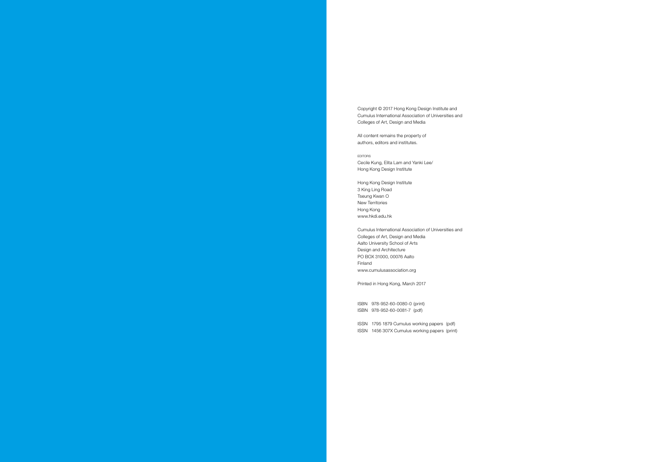Copyright © 2017 Hong Kong Design Institute and Cumulus International Association of Universities and Colleges of Art, Design and Media

**EDITORS** Cecile Kung, Elita Lam and Yanki Lee/ Hong Kong Design Institute

All content remains the property of authors, editors and institutes.

Hong Kong Design Institute 3 King Ling Road Tseung Kwan O New Territories Hong Kong www.hkdi.edu.hk

Cumulus International Association of Universities and Colleges of Art, Design and Media Aalto University School of Arts Design and Architecture PO BOX 31000, 00076 Aalto Finland www.cumulusassociation.org

Printed in Hong Kong, March 2017

ISBN 978-952-60-0080-0 (print) ISBN 978-952-60-0081-7 (pdf)

ISSN 1795 1879 Cumulus working papers (pdf) ISSN 1456 307X Cumulus working papers (print)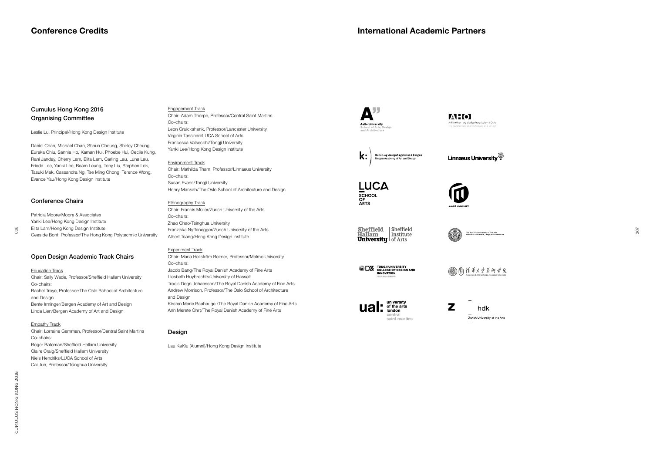007

# Cumulus Hong Kong 2016 Organising Committee

Leslie Lu, Principal/Hong Kong Design Institute

Daniel Chan, Michael Chan, Shaun Cheung, Shirley Cheung, Eureka Chiu, Sannia Ho, Kaman Hui, Phoebe Hui, Cecile Kung, Rani Janday, Cherry Lam, Elita Lam, Carling Lau, Luna Lau, Frieda Lee, Yanki Lee, Beam Leung, Tony Liu, Stephen Lok, Tasuki Mak, Cassandra Ng, Tse Ming Chong, Terence Wong, Evance Yau/Hong Kong Design Institute

# Conference Chairs

Patricia Moore/Moore & Associates Yanki Lee/Hong Kong Design Institute Elita Lam/Hong Kong Design Institute Cees de Bont, Professor/The Hong Kong Polytechnic University

# Open Design Academic Track Chairs

### **Education Track**

Chair: Sally Wade, Professor/Sheffield Hallam University Co-chairs: Rachel Troye, Professor/The Oslo School of Architecture and Design Bente Irminger/Bergen Academy of Art and Design Linda Lien/Bergen Academy of Art and Design

### **Empathy Track**

Chair: Lorraine Gamman, Professor/Central Saint Martins Co-chairs: Roger Bateman/Sheffield Hallam University Claire Craig/Sheffield Hallam University Niels Hendriks/LUCA School of Arts Cai Jun, Professor/Tsinghua University

# Engagement Track

Chair: Adam Thorpe, Professor/Central Saint Martins Co-chairs: Leon Cruickshank, Professor/Lancaster University Virginia Tassinari/LUCA School of Arts Francesca Valsecchi/Tongji University Yanki Lee/Hong Kong Design Institute

### Environment Track

Chair: Mathilda Tham, Professor/Linnaeus University Co-chairs: Susan Evans/Tongji University Henry Mansah/The Oslo School of Architecture and Design

### Ethnography Track

Chair: Francis Müller/Zurich University of the Arts Co-chairs: Zhao Chao/Tsinghua University Franziska Nyffenegger/Zurich University of the Arts Albert Tsang/Hong Kong Design Institute

### Experiment Track

Chair: Maria Hellström Reimer, Professor/Malmo University Co-chairs: Jacob Bang/The Royal Danish Academy of Fine Arts Liesbeth Huybrechts/University of Hasselt Troels Degn Johansson/The Royal Danish Academy of Fine Arts Andrew Morrison, Professor/The Oslo School of Architecture and Design Kirsten Marie Raahauge /The Royal Danish Academy of Fine Arts Ann Merete Ohrt/The Royal Danish Academy of Fine Arts

### **Design**

Lau KaKiu (Alumni)/Hong Kong Design Institute





Kunst- og designhøgskolen i Bergen<br>Bergen Academy of Art and Design  $\mathsf{k}$ :

Linnæus University<sup>3</sup>





Sheffield Sheffield **Hallam** Institute **University** of Arts Institute



**DZ** TONGJI UNIVERSITY **INNOVATION** 

@ 怕 消事火兽美術学院

university  $\mathbf{ual:}$  of the arts saint martins  $\mathbf{z}$ hdk Zurich University of the Arts

006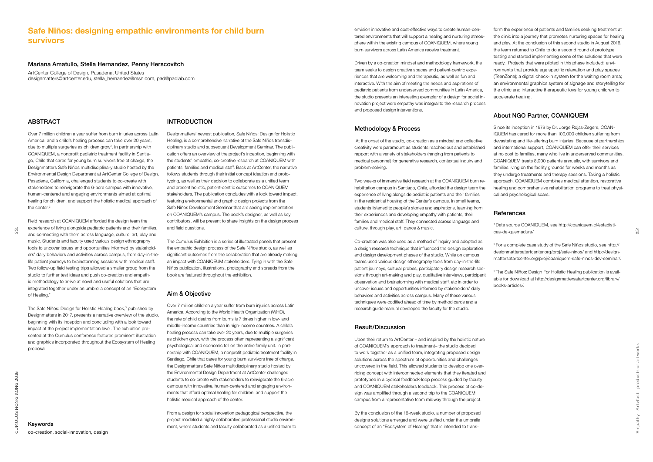251

### Mariana Amatullo, Stella Hernandez, Penny Herscovitch

Over 7 million children a year suffer from burn injuries across Latin America, and a child's healing process can take over 20 years, due to multiple surgeries as children grow<sup>1</sup>. In partnership with COANIQUEM, a nonprofit pediatric treatment facility in Santiago, Chile that cares for young burn survivors free of charge, the Designmatters Safe Niños multidisciplinary studio hosted by the Environmental Design Department at ArtCenter College of Design, Pasadena, California, challenged students to co-create with stakeholders to reinvigorate the 6-acre campus with innovative, human-centered and engaging environments aimed at optimal healing for children, and support the holistic medical approach of the center.<sup>2</sup>

ArtCenter College of Design, Pasadena, United States designmatters@artcenter.edu, stella\_hernandez@msn.com, pad@padlab.com

### ABSTRACT

Field research at COANIQUEM afforded the design team the experience of living alongside pediatric patients and their families, and connecting with them across language, culture, art, play and music. Students and faculty used various design ethnography tools to uncover issues and opportunities informed by stakeholders' daily behaviors and activities across campus, from day-in-thelife patient journeys to brainstorming sessions with medical staff. Two follow-up field testing trips allowed a smaller group from the studio to further test ideas and push co-creation and empathic methodology to arrive at novel and useful solutions that are integrated together under an umbrella concept of an "Ecosystem of Healing."

The Safe Niños: Design for Holistic Healing book,<sup>3</sup> published by Designmatters in 2017, presents a narrative overview of the studio, beginning with its inception and concluding with a look toward impact at the project implementation level. The exhibition presented at the Cumulus conference features prominent illustration and graphics incorporated throughout the Ecosystem of Healing proposal

# Safe Niños: designing empathic environments for child burn survivors

### INTRODUCTION

Designmatters' newest publication, Safe Niños: Design for Holistic Healing, is a comprehensive narrative of the Safe Niños transdisciplinary studio and subsequent Development Seminar. The publication offers an overview of the project's inception, beginning with the students' empathic, co-creative research at COANIQUEM with patients, families and medical staff. Back at ArtCenter, the narrative follows students through their initial concept ideation and prototyping, as well as their decision to collaborate as a unified team and present holistic, patient-centric outcomes to COANIQUEM stakeholders. The publication concludes with a look toward impact, featuring environmental and graphic design projects from the Safe Niños Development Seminar that are seeing implementation on COANIQUEM's campus. The book's designer, as well as key contributors, will be present to share insights on the design process and field questions.

The Cumulus Exhibition is a series of illustrated panels that present the empathic design process of the Safe Niños studio, as well as significant outcomes from the collaboration that are already making an impact with COANIQEUM stakeholders. Tying in with the Safe Niños publication, illustrations, photography and spreads from the book are featured throughout the exhibition.

### Aim & Objective

Over 7 million children a year suffer from burn injuries across Latin America. According to the World Health Organization (WHO), the rate of child deaths from burns is 7 times higher in low- and middle-income countries than in high-income countries. A child's healing process can take over 20 years, due to multiple surgeries as children grow, with the process often representing a significant psychological and economic toll on the entire family unit. In partnership with COANIQUEM, a nonprofit pediatric treatment facility in Santiago, Chile that cares for young burn survivors free of charge, the Designmatters Safe Niños multidisciplinary studio hosted by the Environmental Design Department at ArtCenter challenged students to co-create with stakeholders to reinvigorate the 6-acre campus with innovative, human-centered and engaging environments that afford optimal healing for children, and support the holistic medical approach of the center.

From a design for social innovation pedagogical perspective, the project modeled a highly collaborative professional studio environment, where students and faculty collaborated as a unified team to

Co-creation was also used as a method of inquiry and adopted as a design research technique that influenced the design exploration and design development phases of the studio. While on campus teams used various design ethnography tools from day-in-the-life patient journeys, cultural probes, participatory design research sessions through art-making and play, qualitative interviews, participant observation and brainstorming with medical staff, etc in order to uncover issues and opportunities informed by stakeholders' daily behaviors and activities across campus. Many of these various techniques were codified ahead of time by method cards and a research guide manual developed the faculty for the studio. 2 For a complete case study of the Safe Niños studio, see http:// designmattersatartcenter.org/proj/safe-ninos/ and http://designmattersatartcenter.org/proj/coaniquem-safe-ninos-dev-seminar/. <sup>3</sup> The Safe Niños: Design For Holistic Healing publication is available for download at http://designmattersatartcenter.org/library/ books-articles/.

envision innovative and cost-effective ways to create human-centered environments that will support a healing and nurturing atmosphere within the existing campus of COANIQUEM, where young burn survivors across Latin America receive treatment.

Driven by a co-creation mindset and methodology framework, the team seeks to design creative spaces and patient-centric experiences that are welcoming and therapeutic, as well as fun and interactive. With the aim of meeting the needs and aspirations of pediatric patients from underserved communities in Latin America, the studio presents an interesting exemplar of a design for social innovation project were empathy was integral to the research process and proposed design interventions.

### Methodology & Process

 At the onset of the studio, co-creation as a mindset and collective creativity were paramount as students reached out and established rapport with a variety of stakeholders (ranging from patients to medical personnel) for generative research, contextual inquiry and problem-solving.

Two weeks of immersive field research at the COANIQUEM burn rehabilitation campus in Santiago, Chile, afforded the design team the experience of living alongside pediatric patients and their families in the residential housing of the Center's campus. In small teams, students listened to people's stories and aspirations, learning from their experiences and developing empathy with patients, their families and medical staff. They connected across language and culture, through play, art, dance & music.

### Result/Discussion

Upon their return to ArtCenter – and inspired by the holistic nature of COANIQUEM's approach to treatment– the studio decided to work together as a unified team, integrating proposed design solutions across the spectrum of opportunities and challenges uncovered in the field. This allowed students to develop one overriding concept with interconnected elements that they iterated and prototyped in a cyclical feedback-loop process guided by faculty and COANIQUEM stakeholders feedback. This process of co-design was amplified through a second trip to the COANIQUEM campus from a representative team midway through the project.

By the conclusion of the 16-week studio, a number of proposed designs solutions emerged and were unified under the umbrella concept of an "Ecosystem of Healing" that is intended to trans-

form the experience of patients and families seeking treatment at the clinic into a journey that promotes nurturing spaces for healing and play. At the conclusion of this second studio in August 2016, the team returned to Chile to do a second round of prototype testing and started implementing some of the solutions that were ready. Projects that were piloted in this phase included: environments that provide age specific relaxation and play spaces (TeenZone); a digital check-in system for the waiting room area; an environmental graphics system of signage and storytelling for the clinic and interactive therapeutic toys for young children to accelerate healing.

# About NGO Partner, COANIQUEM

Since its inception in 1979 by Dr. Jorge Rojas-Zegers, COAN-IQUEM has cared for more than 100,000 children suffering from devastating and life-altering burn injuries. Because of partnerships and international support, COANIQUEM can offer their services at no cost to families, many who live in underserved communities. COANIQUEM treats 8,000 patients annually, with survivors and families living on the facility grounds for weeks and months as they undergo treatments and therapy sessions. Taking a holistic approach, COANIQUEM combines medical attention, restorative healing and comprehensive rehabilitation programs to treat physical and psychological scars.

### **References**

1 Data source COANIQUEM, see http://coaniquem.cl/estadisticas-de-quemadura/

Keywords co-creation, social-innovation, design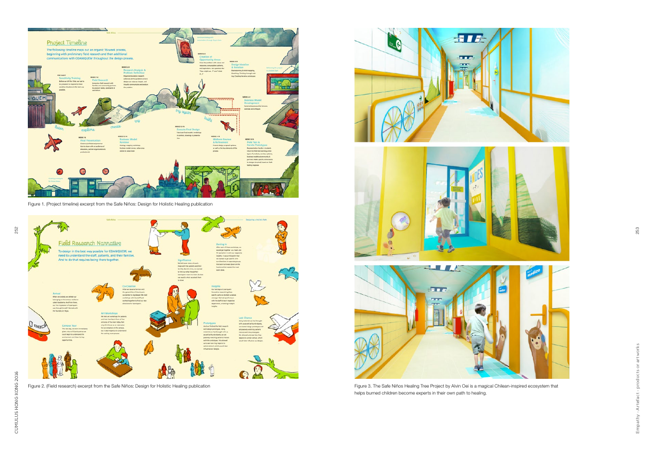Empathy - Artefact - products or artworks Empathy - Artefact - products or artworks

253



Figure 1. (Project timeline) excerpt from the Safe Niños: Design for Holistic Healing publication



Figure 2. (Field research) excerpt from the Safe Niños: Design for Holistic Healing publication healing media content of the Safe Niños Healing Tree Project by Alvin Oei is a magical Chilean-inspired ecosystem that







helps burned children become experts in their own path to healing.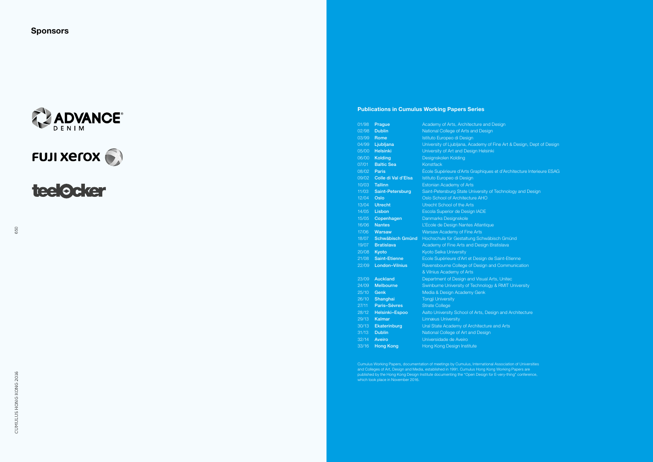



**teelocker** 

Publications in Cumulus Working Papers Series

| 01/98              | Prague                  | Academy of Arts, Architecture and Design   |
|--------------------|-------------------------|--------------------------------------------|
| 02/98              | <b>Dublin</b>           | National College of Arts and Design        |
| 03/99              | <b>Rome</b>             | Istituto Europeo di Design                 |
| 04/99              | Ljubljana               | University of Ljubljana, Academy of Fine A |
| 05/00              | <b>Helsinki</b>         | University of Art and Design Helsinki      |
| 06/00              | <b>Kolding</b>          | Designskolen Kolding                       |
| $\overline{07/01}$ | <b>Baltic Sea</b>       | Konstfack                                  |
| 08/02              | <b>Paris</b>            | École Supérieure d'Arts Graphiques et d'A  |
| 09/02              | Colle di Val d'Elsa     | Istituto Europeo di Design                 |
| 10/03              | <b>Tallinn</b>          | <b>Estonian Academy of Arts</b>            |
| 11/03              | <b>Saint-Petersburg</b> | Saint-Petersburg State University of Techr |
| 12/04              | Oslo                    | Oslo School of Architecture AHO            |
| 13/04              | <b>Utrecht</b>          | Utrecht School of the Arts                 |
| 14/05              | Lisbon                  | Escola Superior de Design IADE             |
| 15/05              | Copenhagen              | Danmarks Designskole                       |
| 16/06              | <b>Nantes</b>           | L'Ecole de Design Nantes Atlantique        |
| 17/06              | <b>Warsaw</b>           | <b>Warsaw Academy of Fine Arts</b>         |
| 18/07              | <b>Schwäbisch Gmünd</b> | Hochschule für Gestaltung Schwäbisch G     |
| 19/07              | <b>Bratislava</b>       | Academy of Fine Arts and Design Bratislay  |
| 20/08              | Kyoto                   | Kyoto Seika University                     |
| 21/08              | <b>Saint-Etienne</b>    | Ecole Supérieure d'Art et Design de Saint- |
| 22/09              | <b>London-Vilnius</b>   | Ravensbourne College of Design and Con     |
|                    |                         | & Vilnius Academy of Arts                  |
| 23/09              | <b>Auckland</b>         | Department of Design and Visual Arts, Un   |
| 24/09              | <b>Melbourne</b>        | Swinburne University of Technology & RM    |
| 25/10              | Genk                    | Media & Design Academy Genk                |
| 26/10              | Shanghai                | <b>Tongji University</b>                   |
| 27/11              | <b>Paris-Sèvres</b>     | <b>Strate College</b>                      |
| 28/12              | Helsinki-Espoo          | Aalto University School of Arts, Design an |
| 29/13              | <b>Kalmar</b>           | <b>Linnæus University</b>                  |
| 30/13              | <b>Ekaterinburg</b>     | Ural State Academy of Architecture and A   |
| 31/13              | <b>Dublin</b>           | National College of Art and Design         |
| 32/14              | <b>Aveiro</b>           | Universidade de Aveiro                     |
| 33/16              | <b>Hong Kong</b>        | Hong Kong Design Institute                 |

Cumulus Working Papers, documentation of meetings by Cumulus, International Association of Universities and Colleges of Art, Design and Media, established in 1991. Cumulus Hong Kong Working Papers are published by the Hong Kong Design Institute documenting the "Open Design for E-very-thing" conference, which took place in November 2016.

Fine Art & Design, Dept of Design

s et d'Architecture Interieure ESAG<sup>ra</sup>

f Technology and Design

isch Gmünd 3ratislava

<sup>2</sup> Saint-Etienne nd Communication

4rts, Unitec y & RMIT University

**2** Sign and Architecture

and Arts